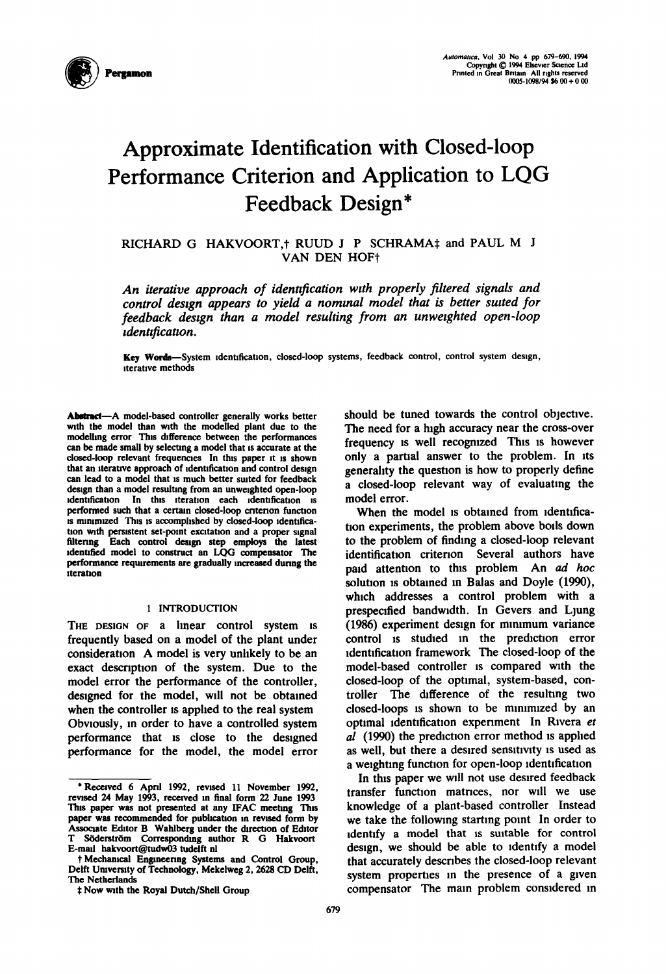

# **Approximate Identification with Closed-loop** Performance Criterion and Application to LQG Feedback Design\*

RICHARD G HAKVOORT,† RUUD J P SCHRAMA‡ and PAUL M J VAN DEN HOF+

An iterative approach of identification with properly filtered signals and control design appears to yield a nominal model that is better suited for feedback design than a model resulting from an unweighted open-loop *identification.* 

Key Words-System identification, closed-loop systems, feedback control, control system design, iterative methods

Abstract-A model-based controller generally works better with the model than with the modelled plant due to the modelling error This difference between the performances can be made small by selecting a model that is accurate at the closed-loop relevant frequencies In this paper it is shown that an iterative approach of identification and control design can lead to a model that is much better suited for feedback design than a model resulting from an unweighted open-loop identification In this iteration each identification is performed such that a certain closed-loop criterion function is minimized This is accomplished by closed-loop identification with persistent set-point excitation and a proper signal filtering Each control design step employs the latest identified model to construct an LQG compensator The performance requirements are gradually increased during the iteration

# 1 INTRODUCTION

THE DESIGN OF a linear control system is frequently based on a model of the plant under consideration A model is very unlikely to be an exact description of the system. Due to the model error the performance of the controller, designed for the model, will not be obtained when the controller is applied to the real system Obviously, in order to have a controlled system performance that is close to the designed performance for the model, the model error should be tuned towards the control objective. The need for a high accuracy near the cross-over frequency is well recognized This is however only a partial answer to the problem. In its generality the question is how to properly define a closed-loop relevant way of evaluating the model error.

When the model is obtained from identification experiments, the problem above boils down to the problem of finding a closed-loop relevant identification criterion Several authors have paid attention to this problem. An ad hoc solution is obtained in Balas and Doyle (1990), which addresses a control problem with a prespecified bandwidth. In Gevers and Ljung (1986) experiment design for minimum variance control is studied in the prediction error identification framework The closed-loop of the model-based controller is compared with the closed-loop of the optimal, system-based, con-The difference of the resulting two troller closed-loops is shown to be minimized by an optimal identification experiment In Rivera et al (1990) the prediction error method is applied as well, but there a desired sensitivity is used as a weighting function for open-loop identification

In this paper we will not use desired feedback transfer function matrices, nor will we use knowledge of a plant-based controller Instead we take the following starting point In order to identify a model that is suitable for control design, we should be able to identify a model that accurately describes the closed-loop relevant system properties in the presence of a given compensator The main problem considered in

<sup>\*</sup>Received 6 April 1992, revised 11 November 1992, revised 24 May 1993, received in final form 22 June 1993 This paper was not presented at any IFAC meeting This paper was recommended for publication in revised form by Associate Editor B Wahlberg under the direction of Editor T Söderström Corresponding author R G Hakvoort E-mail hakvoort@tudw03 tudelft nl

<sup>+</sup> Mechanical Engineering Systems and Control Group, Delft University of Technology, Mekelweg 2, 2628 CD Delft, The Netherlands

<sup>#</sup> Now with the Royal Dutch/Shell Group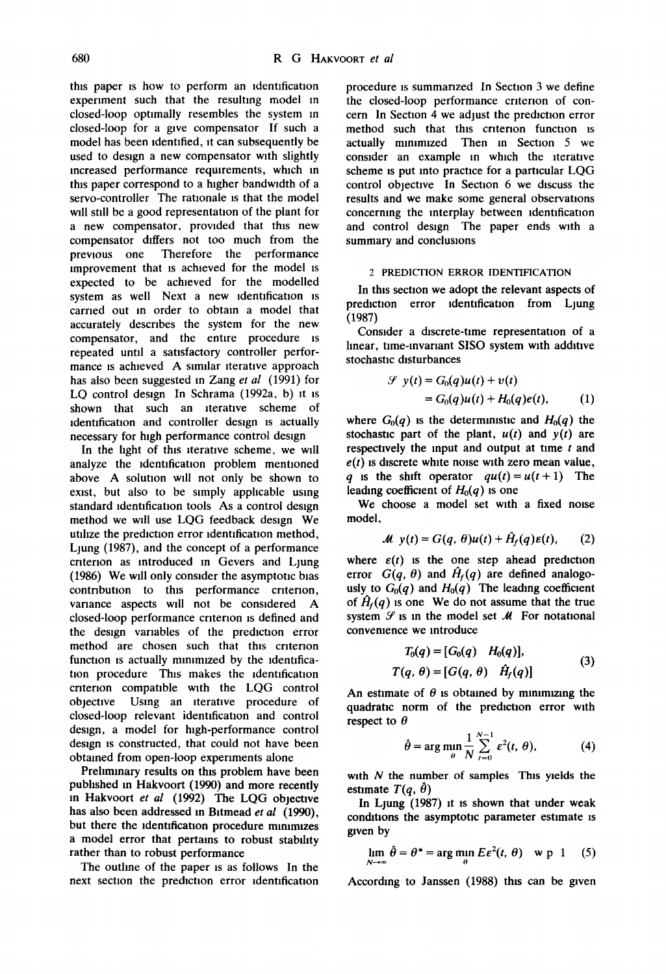this paper IS how to perform an identification experiment such that the resulting model m closed-loop optimally resembles the system m closed-loop for a give compensator If such a model has been identified, it can subsequently be used to design a new compensator with slightly increased performance requirements, which in this paper correspond to a higher bandwidth of a servo-controller The rationale is that the model will still be a good representation of the plant for a new compensator, provided that this new compensator differs not too much from the previous one Therefore the performance improvement that is achieved for the model is expected to be achieved for the modelled system as well Next a new identification is carried out In order to obtain a model that accurately descnbes the system for the new compensator, and the entire procedure is repeated until a satisfactory controller performance is achieved A similar iterative approach has also been suggested in Zang *et al* (1991) for LQ control design In Schrama (1992a, b) it is shown that such an iterative scheme of identification and controller design is actually necessary for high performance control design

In the light of this iterative scheme, we will analyze the identification problem mentioned above A solution will not only be shown to exist, but also to be simply applicable using standard identification tools As a control design method we wdl use LQG feedback design We utilize the prediction error identification method, Ljung (1987), and the concept of a performance criterion as introduced in Gevers and Ljung (1986) We will only consider the asymptotic bias contribution to this performance criterion, variance aspects will not be considered A closed-loop performance criterion is defined and the design variables of the prediction error method are chosen such that this criterion function is actually minimized by the identification procedure This makes the identification criterion compatible with the LQG control objective Using an lteratwe procedure of closed-loop relevant identification and control design, a model for high-performance control design is constructed, that could not have been obtained from open-loop experiments alone

Prehmmary results on this problem have been pubhshed in Hakvoort (1990) and more recently in Hakvoort *et al* (1992) The LQG objectwe has also been addressed m Bltmead *et al* (1990), but there the identification procedure minimizes a model error that pertains to robust stability rather than to robust performance

The outline of the paper is as follows In the next section the prediction error identification procedure is summarized In Section 3 we define the closed-loop performance criterion of concern In Section 4 we adjust the prediction error method such that this criterion function is actually minimized Then in Section 5 we consider an example in which the iterative scheme is put into practice for a particular LQG control objective In Section 6 we discuss the results and we make some general observations concerning the interplay between identification and control design The paper ends with a summary and conclusions

## 2 PREDICTION ERROR IDENTIFICATION

In this section we adopt the relevant aspects of prediction error identification from Ljung (1987)

Consider a discrete-time representation of a linear, time-invariant SISO system with additive stochastic disturbances

$$
\mathcal{S} y(t) = G_0(q)u(t) + v(t)
$$
  
= G\_0(q)u(t) + H\_0(q)e(t), (1)

where  $G_0(q)$  is the deterministic and  $H_0(q)$  the stochastic part of the plant,  $u(t)$  and  $y(t)$  are respectively the input and output at time  $t$  and  $e(t)$  is discrete white noise with zero mean value, q is the shift operator  $qu(t) = u(t+1)$  The leading coefficient of  $H_0(q)$  is one

We choose a model set with a fixed noise model,

$$
M y(t) = G(q, \theta)u(t) + H_f(q)\varepsilon(t), \qquad (2)
$$

where  $\varepsilon(t)$  is the one step ahead prediction error  $G(q, \theta)$  and  $\hat{H}_f(q)$  are defined analogously to  $G_0(q)$  and  $H_0(q)$  The leading coefficient of  $\hat{H}_f(q)$  is one We do not assume that the true system  $\mathcal G$  is in the model set  $\mathcal M$  For notational convenience we introduce

$$
T_0(q) = [G_0(q) \quad H_0(q)],
$$
  
\n
$$
T(q, \theta) = [G(q, \theta) \quad \hat{H}_f(q)]
$$
\n(3)

An estimate of  $\theta$  is obtained by minimizing the quadratic norm of the prediction error with respect to  $\theta$ 

$$
\hat{\theta} = \arg\min_{\theta} \frac{1}{N} \sum_{t=0}^{N-1} \varepsilon^2(t, \theta), \tag{4}
$$

with  $N$  the number of samples This yields the estimate  $T(q, \hat{\theta})$ 

In Ljung (1987) it is shown that under weak conditions the asymptotic parameter estimate is given by

$$
\lim_{N \to \infty} \hat{\theta} = \theta^* = \arg \min_{\theta} E \varepsilon^2(t, \theta) \quad \text{w p 1} \quad (5)
$$

According to Janssen (1988) this can be given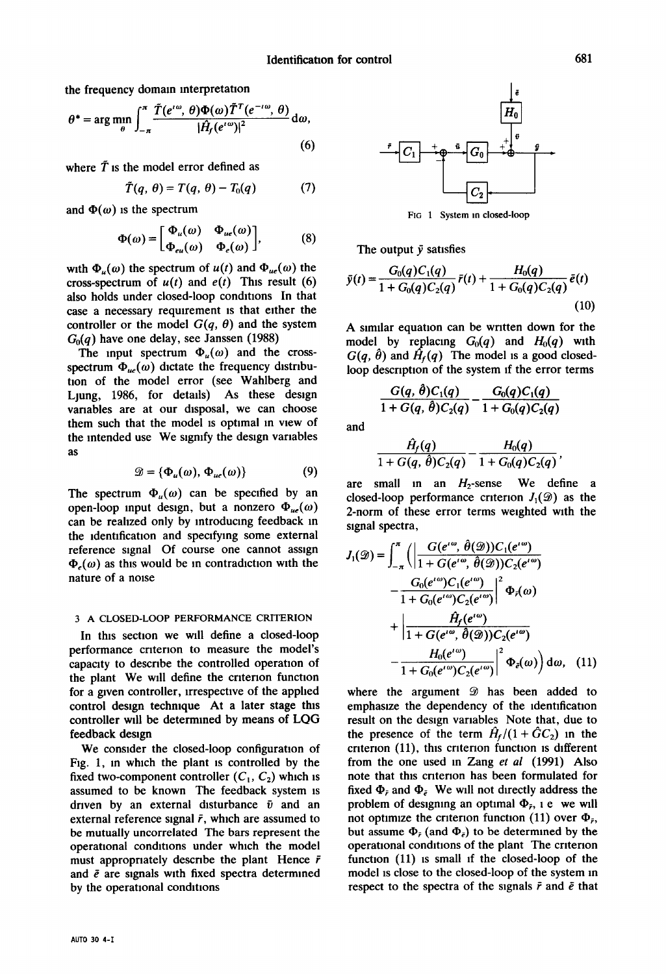the frequency domain interpretation

$$
\theta^* = \arg\min_{\theta} \int_{-\pi}^{\pi} \frac{\tilde{T}(e^{i\omega}, \theta) \Phi(\omega) \tilde{T}^T(e^{-i\omega}, \theta)}{|\hat{H}_f(e^{i\omega})|^2} d\omega,
$$
\n(6)

where  $\bar{T}$  is the model error defined as

$$
\tilde{T}(q, \theta) = T(q, \theta) - T_0(q) \tag{7}
$$

and  $\Phi(\omega)$  is the spectrum

$$
\Phi(\omega) = \begin{bmatrix} \Phi_u(\omega) & \Phi_{ue}(\omega) \\ \Phi_{eu}(\omega) & \Phi_e(\omega) \end{bmatrix}, \tag{8}
$$

with  $\Phi_u(\omega)$  the spectrum of  $u(t)$  and  $\Phi_{ue}(\omega)$  the cross-spectrum of  $u(t)$  and  $e(t)$  This result (6) also holds under closed-loop conditions In that case a necessary requirement is that either the controller or the model  $G(q, \theta)$  and the system *Go(q)* have one delay, see Janssen (1988)

The input spectrum  $\Phi_u(\omega)$  and the crossspectrum  $\Phi_{\mu e}(\omega)$  dictate the frequency distribution of the model error (see Wahlberg and Ljung, 1986, for details) As these design variables are at our disposal, we can choose them such that the model is optimal in view of the intended use We signify the design variables as

$$
\mathcal{D} = \{ \Phi_u(\omega), \Phi_{ue}(\omega) \}
$$
 (9)

The spectrum  $\Phi_u(\omega)$  can be specified by an open-loop input design, but a nonzero  $\Phi_{ue}(\omega)$ can be realized only by introducing feedback in the identification and specifying some external reference signal Of course one cannot assign  $\Phi_{\epsilon}(\omega)$  as this would be in contradiction with the nature of a noise

## 3 A CLOSED-LOOP PERFORMANCE CRITERION

In this section we will define a closed-loop performance criterion to measure the model's capacity to describe the controlled operation of the plant We will define the criterion function for a given controller, lrrespectwe of the applied control design technique At a later stage this controller will be determined by means of LQG feedback design

We consider the closed-loop configuration of Fig. 1, in which the plant is controlled by the fixed two-component controller  $(C_1, C_2)$  which is assumed to be known The feedback system is driven by an external disturbance  $\bar{v}$  and an external reference signal  $\bar{r}$ , which are assumed to be mutually uncorrelated The bars represent the operational conditions under which the model must appropriately describe the plant Hence  $\bar{r}$ and  $\bar{e}$  are signals with fixed spectra determined by the operational conditions



FIG 1 System in closed-loop

The output  $\bar{y}$  satisfies

$$
\bar{y}(t) = \frac{G_0(q)C_1(q)}{1 + G_0(q)C_2(q)}\bar{r}(t) + \frac{H_0(q)}{1 + G_0(q)C_2(q)}\bar{e}(t)
$$
\n(10)

A similar equation can be written down for the model by replacing  $G_0(q)$  and  $H_0(q)$  with  $G(q, \hat{\theta})$  and  $\hat{H}_f(q)$  The model is a good closedloop description of the system if the error terms

$$
\frac{G(q, \theta)C_1(q)}{1+G(q, \theta)C_2(q)} - \frac{G_0(q)C_1(q)}{1+G_0(q)C_2(q)}
$$

and

$$
\frac{\hat{H}_f(q)}{1+G(q,\hat{\theta})C_2(q)} - \frac{H_0(q)}{1+G_0(q)C_2(q)},
$$

are small in an  $H_2$ -sense We define a closed-loop performance criterion  $J_1(\mathcal{D})$  as the 2-norm of these error terms weighted with the signal spectra,

$$
J_1(\mathscr{D}) = \int_{-\pi}^{\pi} \left( \left| \frac{G(e^{i\omega}, \hat{\theta}(\mathscr{D})) C_1(e^{i\omega})}{1 + G(e^{i\omega}, \hat{\theta}(\mathscr{D})) C_2(e^{i\omega})} \right| - \frac{G_0(e^{i\omega}) C_1(e^{i\omega})}{1 + G_0(e^{i\omega}) C_2(e^{i\omega})} \right|^2 \Phi_r(\omega) + \left| \frac{\hat{H}_f(e^{i\omega})}{1 + G(e^{i\omega}, \hat{\theta}(\mathscr{D})) C_2(e^{i\omega})} \right| - \frac{H_0(e^{i\omega})}{1 + G_0(e^{i\omega}) C_2(e^{i\omega})} \right|^2 \Phi_{\tilde{e}}(\omega) d\omega, \quad (11)
$$

where the argument  $\mathcal{D}$  has been added to emphasize the dependency of the identification result on the design variables Note that, due to the presence of the term  $\hat{H}_f/(1 + \hat{G}C_2)$  in the criterion (11), this criterion function is different from the one used m Zang *et al* (1991) Also note that this criterion has been formulated for fixed  $\Phi_{\bar{r}}$  and  $\Phi_{\bar{e}}$ . We will not directly address the problem of designing an optimal  $\Phi_{\bar{r}}$ , i.e. we will not optimize the criterion function (11) over  $\Phi_{\bar{r}_1}$ , but assume  $\Phi_{\bar{r}}$  (and  $\Phi_{\bar{r}}$ ) to be determined by the operational conditions of the plant The criterion function (11) is small if the closed-loop of the model is close to the closed-loop of the system m respect to the spectra of the signals  $\bar{r}$  and  $\bar{e}$  that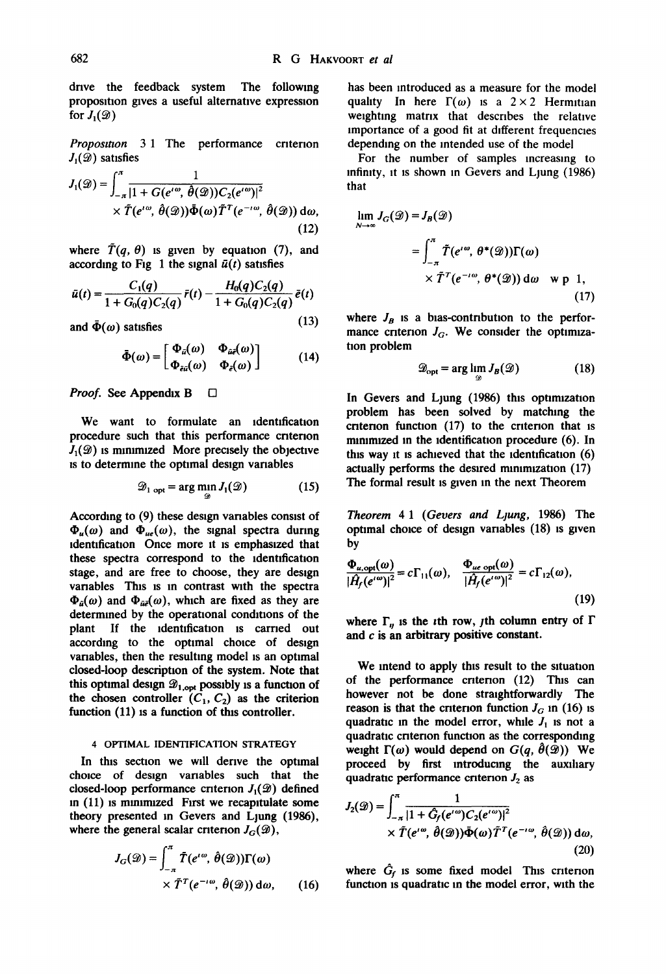drive the feedback system The following proposition gives a useful alternative expression for  $J_1({\mathcal{D}})$ 

*Proposition* 3.1 The performance criterion  $J_1({\mathcal{D}})$  satisfies

$$
J_1(\mathcal{D}) = \int_{-\pi}^{\pi} \frac{1}{|1 + G(e^{i\omega}, \hat{\theta}(\mathcal{D})) C_2(e^{i\omega})|^2} \times \tilde{T}(e^{i\omega}, \hat{\theta}(\mathcal{D})) \tilde{\Phi}(\omega) \tilde{T}^T(e^{-i\omega}, \hat{\theta}(\mathcal{D})) d\omega,
$$
\n(12)

where  $\tilde{T}(q, \theta)$  is given by equation (7), and according to Fig 1 the signal  $\bar{u}(t)$  satisfies

$$
\bar{u}(t) = \frac{C_1(q)}{1 + G_0(q)C_2(q)} \bar{r}(t) - \frac{H_0(q)C_2(q)}{1 + G_0(q)C_2(q)} \bar{e}(t)
$$

and  $\bar{\Phi}(\omega)$  satisfies (13)

$$
\bar{\Phi}(\omega) = \begin{bmatrix} \Phi_{\bar{u}}(\omega) & \Phi_{\bar{u}\bar{e}}(\omega) \\ \Phi_{\bar{e}\bar{u}}(\omega) & \Phi_{\bar{e}}(\omega) \end{bmatrix}
$$
 (14)

*Proof.* See Appendix B □

We want to formulate an identification procedure such that this performance criterion  $J_1({\mathcal{D}})$  is minimized More precisely the objective is to determine the optimal design variables

$$
\mathscr{D}_{1 \text{ opt}} = \arg \min_{\mathscr{D}} J_1(\mathscr{D}) \tag{15}
$$

According to (9) these design vanables consist of  $\Phi_u(\omega)$  and  $\Phi_{ue}(\omega)$ , the signal spectra during identification Once more it is emphasized that these spectra correspond to the identification stage, and are free to choose, they are destgn variables This is in contrast with the spectra  $\Phi_{\tilde{\mu}}(\omega)$  and  $\Phi_{\tilde{\mu}\tilde{\epsilon}}(\omega)$ , which are fixed as they are determined by the operational conditions of the plant If the identification is earned out according to the optimal choice of design vanables, then the resulting model is an optimal closed-loop description of the system. Note that this optimal design  $\mathcal{D}_{1,\text{opt}}$  possibly is a function of the chosen controller  $(C_1, C_2)$  as the criterion function (11) is a function of this controller.

## 4 OPTIMAL IDENTIFICATION STRATEGY

In this section we will denve the optimal choice of design variables such that the closed-loop performance criterion  $J_1({\mathcal{D}})$  defined m (11) is mmmuzed First we recapitulate some theory presented in Gevers and Ljung (1986), where the general scalar criterion  $J_G({\mathscr{D}})$ ,

$$
J_G(\mathcal{D}) = \int_{-\pi}^{\pi} \tilde{T}(e^{i\omega}, \hat{\theta}(\mathcal{D})) \Gamma(\omega)
$$
  
 
$$
\times \tilde{T}^T(e^{-i\omega}, \hat{\theta}(\mathcal{D})) d\omega, \qquad (16)
$$

has been introduced as a measure for the model quality In here  $\Gamma(\omega)$  is a 2 × 2 Hermitian weighting matrix that describes the relative importance of a good fit at different frequencies depending on the intended use of the model

For the number of samples increasing to infinity, it Is shown m Gevers and Ljung (1986) that

$$
\lim_{N \to \infty} J_G(\mathcal{D}) = J_B(\mathcal{D})
$$
  
= 
$$
\int_{-\pi}^{\pi} \tilde{T}(e^{i\omega}, \theta^*(\mathcal{D})) \Gamma(\omega)
$$
  

$$
\times \tilde{T}^T(e^{-i\omega}, \theta^*(\mathcal{D})) d\omega \text{ w p 1,}
$$
 (17)

where  $J_B$  is a bias-contribution to the performance criterion  $J_G$ . We consider the optimization problem

$$
\mathcal{D}_{\text{opt}} = \arg\lim_{\mathcal{D}} J_B(\mathcal{D}) \tag{18}
$$

**In** Gevers and Ljung (1986) this optimization problem has been solved by matching the criterion function  $(17)$  to the criterion that is minimized in the identification procedure  $(6)$ . In this way it is achieved that the identification  $(6)$ actually performs the desired minimization (17) The formal result is given in the next Theorem

*Theorem 4 1 (Gevers and Llung,* 1986) The optimal choice of design variables (18) is given by

$$
\frac{\Phi_{u,\text{opt}}(\omega)}{|\hat{H}_f(e^{i\omega})|^2} = c\Gamma_{11}(\omega), \quad \frac{\Phi_{ue,\text{opt}}(\omega)}{|\hat{H}_f(e^{i\omega})|^2} = c\Gamma_{12}(\omega),\tag{19}
$$

where  $\Gamma_{\mu}$  is the *i*th row, *j*th column entry of  $\Gamma$ **and c is an arbitrary positive constant.** 

We intend to apply this result to the situation of the performance cntenon (12) This can however not be done straightforwardly The reason is that the criterion function  $J_G$  in (16) is quadratic in the model error, while  $J_1$  is not a quadratic cntenon function as the corresponding weight  $\Gamma(\omega)$  would depend on  $G(q, \hat{\theta}(\mathcal{D}))$  We proceed by first introducing the auxiliary quadratic performance criterion  $J_2$  as

$$
J_2(\mathcal{D}) = \int_{-\pi}^{\pi} \frac{1}{|1 + \hat{G}_f(e^{i\omega})C_2(e^{i\omega})|^2} \times \tilde{T}(e^{i\omega}, \hat{\theta}(\mathcal{D}))\bar{\Phi}(\omega)\tilde{T}^T(e^{-i\omega}, \hat{\theta}(\mathcal{D})) d\omega,
$$
\n(20)

where  $\hat{G}_f$  is some fixed model This criterion function is quadratic in the model error, with the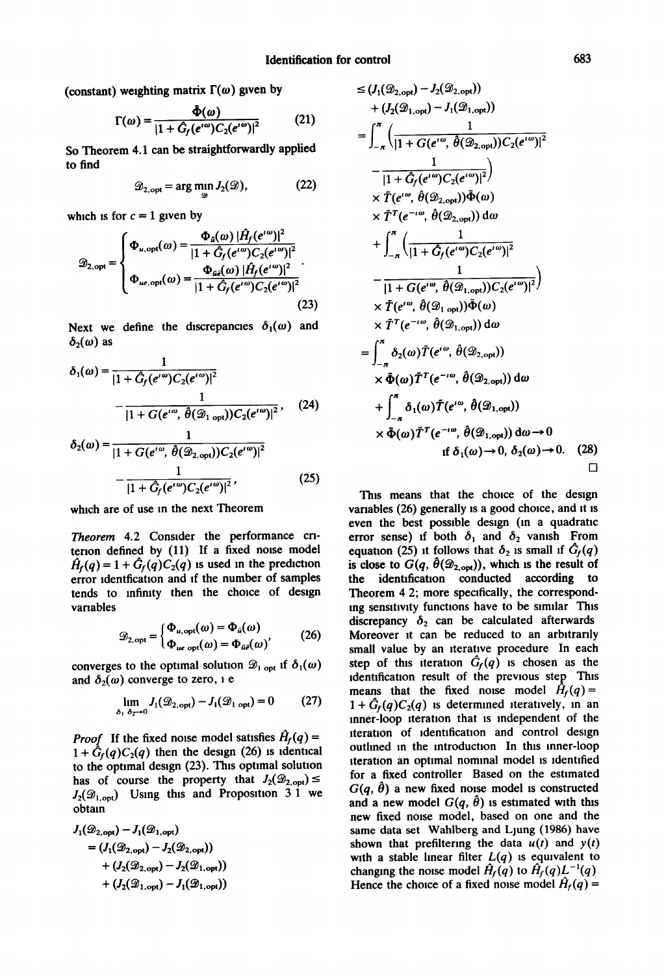(constant) weighting matrix  $\Gamma(\omega)$  given by

$$
\Gamma(\omega) = \frac{\bar{\Phi}(\omega)}{|1 + \hat{G}_f(e^{i\omega})C_2(e^{i\omega})|^2}
$$
(21)

So Theorem 4.1 can be straightforwardly applied to find

$$
\mathcal{D}_{2,\text{opt}} = \arg\min_{\mathcal{D}} J_2(\mathcal{D}),\tag{22}
$$

which is for  $c = 1$  given by

$$
\mathcal{D}_{2,\text{opt}} = \begin{cases} \Phi_{u,\text{opt}}(\omega) = \frac{\Phi_{\tilde{u}}(\omega) |H_f(e^{i\omega})|^2}{|1 + \hat{G}_f(e^{i\omega})C_2(e^{i\omega})|^2} \\ \Phi_{ue,\text{opt}}(\omega) = \frac{\Phi_{\tilde{u}\tilde{e}}(\omega) |\hat{H}_f(e^{i\omega})|^2}{|1 + \hat{G}_f(e^{i\omega})C_2(e^{i\omega})|^2} \end{cases} \tag{23}
$$

Next we define the discrepancies  $\delta_1(\omega)$  and  $\delta_2(\omega)$  as

$$
\delta_1(\omega) = \frac{1}{|1 + \hat{G}_f(e^{i\omega})C_2(e^{i\omega})|^2} - \frac{1}{|1 + G(e^{i\omega}, \hat{\theta}(\mathcal{D}_{1 \text{ opt}}))C_2(e^{i\omega})|^2},
$$
 (24)

$$
\delta_2(\omega) = \frac{1}{|1 + G(e^{i\omega}, \hat{\theta}(\mathcal{D}_{2,\text{opt}}))C_2(e^{i\omega})|^2} - \frac{1}{|1 + \hat{G}_f(e^{i\omega})C_2(e^{i\omega})|^2},
$$
\n(25)

which are of use in the next Theorem

*Theorem* 4.2 Consider the performance cntenon defined by (11) If a fixed noise model  $\hat{H}_f(q) = 1 + \hat{G}_f(q)C_2(q)$  is used in the prediction error identfication and if the number of samples tends to mfimty then the choice of design variables

$$
\mathcal{D}_{2,\text{opt}} = \begin{cases} \Phi_{u,\text{opt}}(\omega) = \Phi_{\bar{u}}(\omega) \\ \Phi_{ue,\text{opt}}(\omega) = \Phi_{\bar{u}\bar{e}}(\omega) \end{cases}
$$
 (26)

converges to the optimal solution  $\mathscr{D}_1$  opt if  $\delta_1(\omega)$ and  $\delta_2(\omega)$  converge to zero, i e

$$
\lim_{\delta_1 \delta_2 \to 0} J_1(\mathcal{D}_{2,\text{opt}}) - J_1(\mathcal{D}_{1,\text{opt}}) = 0 \tag{27}
$$

*Proof* If the fixed noise model satisfies  $H_f(q) =$  $1 + \hat{G}_f(q)C_2(q)$  then the design (26) is identical to the optimal design (23). This optimal solution has of course the property that  $J_2(\mathscr{D}_{2,\text{opt}}) \leq$  $J_2({\mathcal{D}}_{1,\text{opt}})$  Using this and Proposition 3.1 we obtain

$$
J_1(\mathcal{D}_{2,\text{opt}}) - J_1(\mathcal{D}_{1,\text{opt}}) = (J_1(\mathcal{D}_{2,\text{opt}}) - J_2(\mathcal{D}_{2,\text{opt}})) + (J_2(\mathcal{D}_{2,\text{opt}}) - J_2(\mathcal{D}_{1,\text{opt}})) + (J_2(\mathcal{D}_{1,\text{opt}}) - J_1(\mathcal{D}_{1,\text{opt}}))
$$

$$
\leq (J_1(\mathcal{D}_{2,opt}) - J_2(\mathcal{D}_{2,opt}))
$$
  
+  $(J_2(\mathcal{D}_{1,opt}) - J_1(\mathcal{D}_{1,opt}))$   
=  $\int_{-\pi}^{\pi} \left( \frac{1}{|1 + G(e^{i\omega}, \theta(\mathcal{D}_{2,opt})) C_2(e^{i\omega})|^2} \right)$   
-  $\frac{1}{|1 + \hat{G}_f(e^{i\omega}) C_2(e^{i\omega})|^2} \times \tilde{T}(e^{i\omega}, \theta(\mathcal{D}_{2,opt})) \tilde{\Phi}(\omega)$   
 $\times \tilde{T}^T(e^{-i\omega}, \theta(\mathcal{D}_{2,opt})) d\omega$   
+  $\int_{-\pi}^{\pi} \left( \frac{1}{|1 + \hat{G}_f(e^{i\omega}) C_2(e^{i\omega})|^2} \right)$   
-  $\frac{1}{|1 + G(e^{i\omega}, \theta(\mathcal{D}_{1,opt})) C_2(e^{i\omega})|^2} \times \tilde{T}(e^{i\omega}, \theta(\mathcal{D}_{1,opt})) \tilde{\Phi}(\omega)$   
 $\times \tilde{T}^T(e^{-i\omega}, \theta(\mathcal{D}_{1,opt})) d\omega$   
=  $\int_{-\pi}^{\pi} \delta_2(\omega) \tilde{T}(e^{i\omega}, \theta(\mathcal{D}_{2,opt}))$   
 $\times \tilde{\Phi}(\omega) \tilde{T}^T(e^{-i\omega}, \theta(\mathcal{D}_{2,opt}))$   
 $\times \tilde{\Phi}(\omega) \tilde{T}^T(e^{-i\omega}, \theta(\mathcal{D}_{2,opt})) d\omega$   
+  $\int_{-\pi}^{\pi} \delta_1(\omega) \tilde{T}(e^{i\omega}, \theta(\mathcal{D}_{1,opt})) d\omega \rightarrow 0$   
if  $\delta_1(\omega) \rightarrow 0, \delta_2(\omega) \rightarrow 0$ . (28)

This means that the choice of the design variables (26) generally is a good choice, and it is even the best possible design (in a quadratic error sense) if both  $\delta_1$  and  $\delta_2$  vanish From equation (25) it follows that  $\delta_2$  is small if  $\hat{G}_f(q)$ is close to  $G(q, \hat{\theta}(\mathcal{D}_{2, opt}))$ , which is the result of the identification conducted according to Theorem 4.2; more specifically, the corresponding sensitivity functions have to be similar This discrepancy  $\delta_2$  can be calculated afterwards Moreover it can be reduced to an arbltranly small value by an iterative procedure In each step of this iteration  $G_f(q)$  is chosen as the identification result of the previous step This means that the fixed noise model  $H_f(q)$  =  $1 + \tilde{G}_f(q)C_2(q)$  is determined iteratively, in an inner-loop iteration that is independent of the iteration of identification and control design outlined in the introduction In this inner-loop iteration an optimal nominal model is identified for a fixed controller Based on the estimated  $G(q, \hat{\theta})$  a new fixed noise model is constructed and a new model  $G(q, \hat{\theta})$  is estimated with this new fixed noise model, based on one and the same data set Wahlberg and Ljung (1986) have shown that prefiltering the data  $u(t)$  and  $y(t)$ with a stable linear filter  $L(q)$  is equivalent to changing the noise model  $\hat{H}_f(q)$  to  $\hat{H}_f(q)L^{-1}(q)$ Hence the choice of a fixed noise model  $\hat{H}_f(q)$  =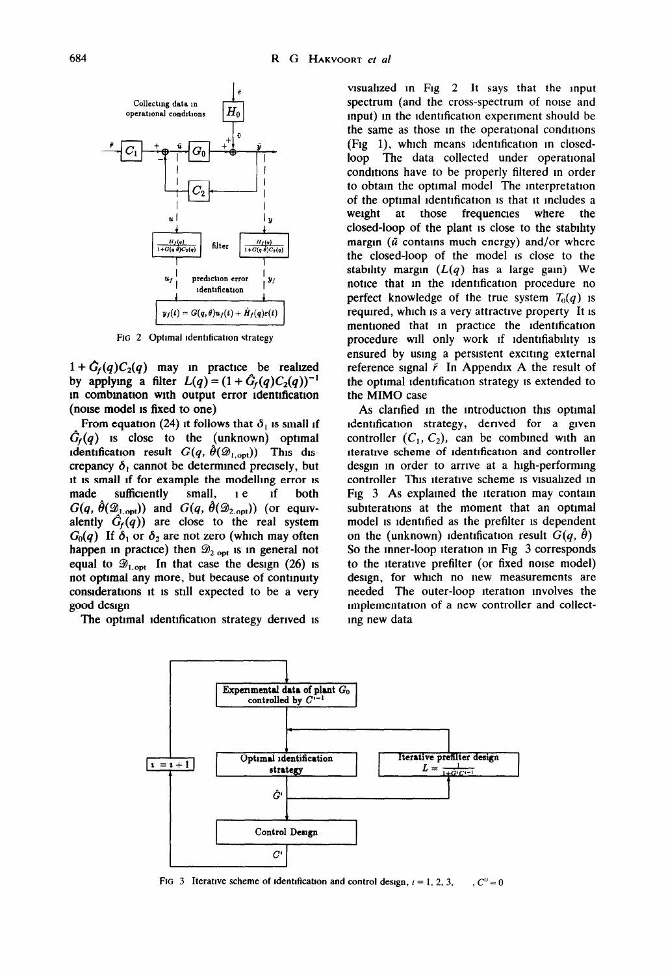

FIG 2 Optimal identification strategy

 $1+ \hat{G}_f(q)C_2(q)$  may in practice be realized by applying a filter  $L(q) = (1 + \hat{G}_f(q)C_2(q))^{-1}$ m combmatlon with output error ldenttficatlon (noise model 1s fixed to one)

From equation (24) it follows that  $\delta_1$  is small if  $G_f(q)$  is close to the (unknown) optimal identification result  $G(q, \hat{\theta}(\mathcal{D}_{1,\text{opt}}))$  This discrepancy  $\delta_1$  cannot be determined precisely, but it is small if for example the modelling error is made sufficiently small, *i e* If both  $G(q, \hat{\theta}(\mathcal{D}_{1,\text{opt}}))$  and  $G(q, \hat{\theta}(\mathcal{D}_{2,\text{opt}}))$  (or equivalently  $\hat{G}_f(q)$  are close to the real system  $G_0(q)$  If  $\delta_1$  or  $\delta_2$  are not zero (which may often happen in practice) then  $\mathcal{D}_{2 \text{ opt}}$  is in general not equal to  $\mathscr{D}_{1,\text{opt}}$  In that case the design (26) is not optimal any more, but because of contmulty considerations it is still expected to be a very good design

The optimal identification strategy derived is

visualized in Fig  $2$  It says that the input spectrum (and the cross-spectrum of noise and input) in the identification experiment should be the same as those in the operational conditions (Fig  $1$ ), which means identification in closedloop The data collected under operational conditions have to be properly filtered in order to obtain the optimal model The Interpretation of the optimal identification is that it includes a weight at those frequencies where the closed-loop of the plant 1s close to the stability margin ( $\bar{u}$  contains much energy) and/or where the closed-loop of the model 1s close to the stability margin  $(L(q)$  has a large gain) We notice that in the identification procedure no perfect knowledge of the true system  $T_0(q)$  is required, which 1s a very attractive property It 1s mentioned that in practice the identification procedure will only work if identifiability is ensured by using a persistent exciting external reference signal  $\bar{r}$  In Appendix A the result of the optimal identification strategy is extended to the MIMO case

As clarified in the introduction this optimal ldentlficatlon strategy, derived for a given controller  $(C_1, C_2)$ , can be combined with an iterative scheme of identification and controller desgm m order to arrive at a high-performing controller This iterative scheme 1s visualized m Fig 3 As explained the iteration may contain subiterations at the moment that an optimal model 1s identified as the prefilter 1s dependent on the (unknown) identification result  $G(q, \hat{\theta})$ *So* the inner-loop iteration m Fig 3 corresponds to the iterative prefilter (or fixed noise model) design, for which no new measurements are needed The outer-loop iteration involves the lmplementatlon of a new controller and collectmg new data



FIG 3 Iterative scheme of identification and control design,  $i = 1, 2, 3, \dots, C^0 = 0$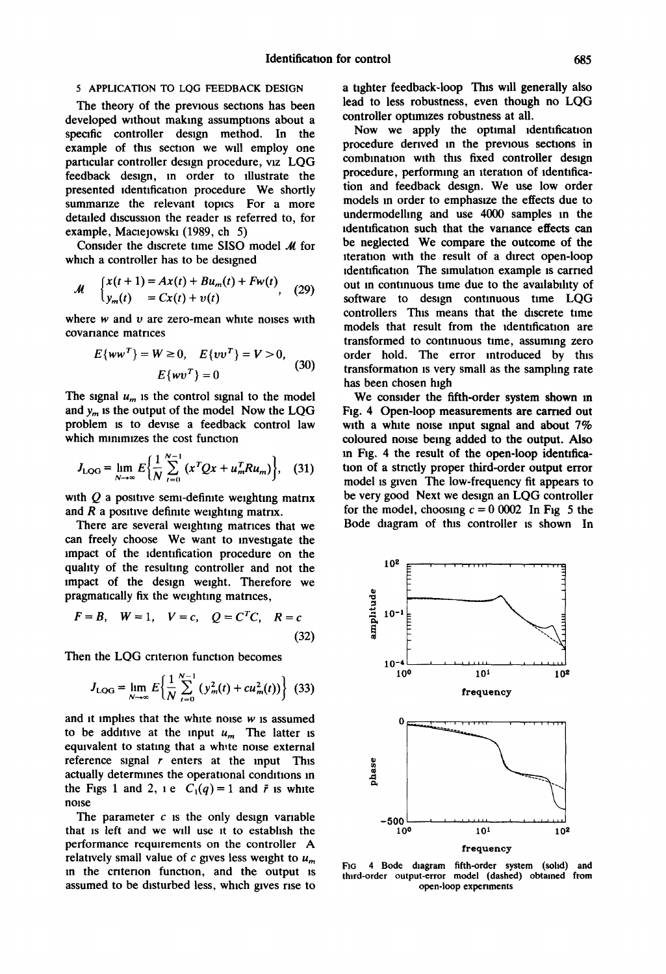# 5 APPLICATION TO LQG FEEDBACK DESIGN

The theory of the previous sections has been developed without making assumptions about a specific controller design method. In the example of this section we will employ one particular controller design procedure, viz LQG feedback design, m order to illustrate the presented identification procedure We shortly summarize the relevant topics For a more detailed discussion the reader is referred to, for example, Maciejowski (1989, ch 5)

Consider the discrete time SISO model  $M$  for which a controller has to be designed

$$
M = \begin{cases} x(t+1) = Ax(t) + Bu_m(t) + Fw(t) \\ y_m(t) = Cx(t) + v(t) \end{cases}
$$
 (29)

where  $w$  and  $v$  are zero-mean white noises with covariance matrices

$$
E\{ww^T\} = W \ge 0, \quad E\{vv^T\} = V > 0,
$$
  

$$
E\{wv^T\} = 0
$$
 (30)

The signal  $u_m$  is the control signal to the model and  $y_m$  is the output of the model Now the LQG problem is to devise a feedback control law which minimizes the cost function

$$
J_{\text{LOG}} = \lim_{N \to \infty} E \bigg\{ \frac{1}{N} \sum_{t=0}^{N-1} (x^T Q x + u_m^T R u_m) \bigg\}, \quad (31)
$$

with  $Q$  a positive semi-definite weighting matrix and  $R$  a positive definite weighting matrix.

There are several weighting matrices that we can freely choose We want to investigate the impact of the identification procedure on the quality of the resultmg controller and not the impact of the design weight. Therefore we pragmatically fix the weighting matrices,

$$
F = B, \quad W = 1, \quad V = c, \quad Q = CTC, \quad R = c
$$
\n(32)

Then the LOG criterion function becomes

$$
J_{\text{LOG}} = \lim_{N \to \infty} E \bigg\{ \frac{1}{N} \sum_{t=0}^{N-1} \left( y_m^2(t) + c u_m^2(t) \right) \bigg\} \tag{33}
$$

and it implies that the white noise  $w$  is assumed to be additive at the input  $u_m$  The latter is equivalent to stating that a white noise external reference signal  $r$  enters at the input This actually determines the operational conditions in the Figs 1 and 2, 1 e  $C_1(q) = 1$  and  $\bar{r}$  is white noise

The parameter  $c$  is the only design variable that is left and we will use it to establish the performance requirements on the controller A relatively small value of  $c$  gives less weight to  $u_m$ in the criterion function, and the output is assumed to be disturbed less, which gives rise to

a tighter feedback-loop This will generally also lead to less robustness, even though no LQG controller optimizes robustness at all.

Now we apply the optimal identification procedure derived in the previous sections in combmatton wtth this fixed controller design procedure, performing an iteration of identification and feedback design. We use low order models m order to emphasize the effects due to undermodelhng and use 4000 samples In the identification such that the variance effects can be neglected We compare the outcome of the iteration with the result of a direct open-loop identification The simulation example is carried out in continuous time due to the availability of software to design continuous time LQG controllers This means that the discrete time models that result from the identification are transformed to continuous time, assuming zero order hold. The error mtroduced by this transformation is very small as the sampling rate has been chosen high

We consider the fifth-order system shown in **Fig. 4 Open-loop measurements are carried out**  with a white noise input signal and about  $7\%$ coloured noise being added to the output. Also m Fig. 4 the result of the open-loop idenufication of a strictly proper third-order output error model is gwen The low-frequency fit appears to be very good Next we design an LQG controller for the model, choosing  $c = 0.0002$  In Fig 5 the Bode diagram of this controller is shown In



FIG 4 Bode diagram fifth-order system (solid) and third-order output-error model (dashed) obtained from open-loop cxpenments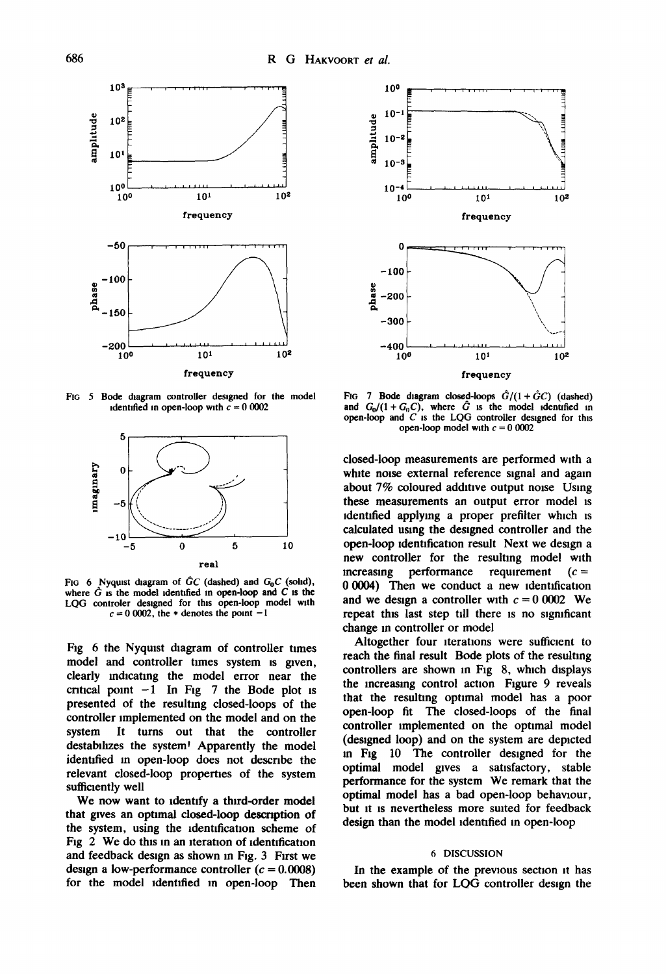

FIG 5 Bode diagram controller designed for the model identified in open-loop with  $c = 0.0002$ 



FIG 6 Nyquist diagram of  $\hat{G}C$  (dashed) and  $G_0C$  (sohd), where  $\hat{G}$  is the model identified in open-loop and C is the LOG controler designed for this open-loop model with  $c=0$  0002, the  $*$  denotes the point  $-1$ 

Fig 6 the Nyquist diagram of controller times model and controller times system is given, clearly indicating the model error near the critical point  $-1$  In Fig 7 the Bode plot is presented of the resulting closed-loops of the controller implemented on the model and on the system It turns out that the controller destabilizes the system<sup>1</sup> Apparently the model identified in open-loop does not describe the relevant closed-loop properties of the system sufficiently well

We now want to identify a third-order model that gives an optimal closed-loop description of the system, using the identification scheme of Fig 2 We do this in an iteration of identification and feedback design as shown in Fig. 3 First we design a low-performance controller  $(c = 0.0008)$ for the model identified in open-loop Then



FIG 7 Bode diagram closed-loops  $\hat{G}/(1+\hat{G}C)$  (dashed) and  $G_0/(1 + G_0C)$ , where  $\hat{G}$  is the model identified in open-loop and  $C$  is the LQG controller designed for this open-loop model with  $c = 0.0002$ 

closed-loop measurements are performed with a white noise external reference signal and again about 7% coloured additive output noise Using these measurements an output error model is identified applymg a proper prefilter which is calculated using the designed controller and the open-loop identification result Next we design a new controller for the resulting model with increasing performance requirement  $(c =$ 0 0004) Then we conduct a new identification and we design a controller with  $c = 0.0002$  We repeat this last step till there is no significant change in controller or model

Altogether four iterations were sufficient to reach the final result Bode plots of the resulting controllers are shown in Fig 8, which displays the increasing control action Figure 9 reveals that the resulting optimal model has a poor open-loop fit The closed-loops of the final controller implemented on the optimal model (designed loop) and on the system are depicted in Fig 10 The controller designed for the optimal model gives a satisfactory, stable performance for the system We remark that the optimal model has a bad open-loop behaviour, but It is nevertheless more suited for feedback design than the model identified in open-loop

#### 6 DISCUSSION

In the example of the previous section it has been shown that for LQG controller design the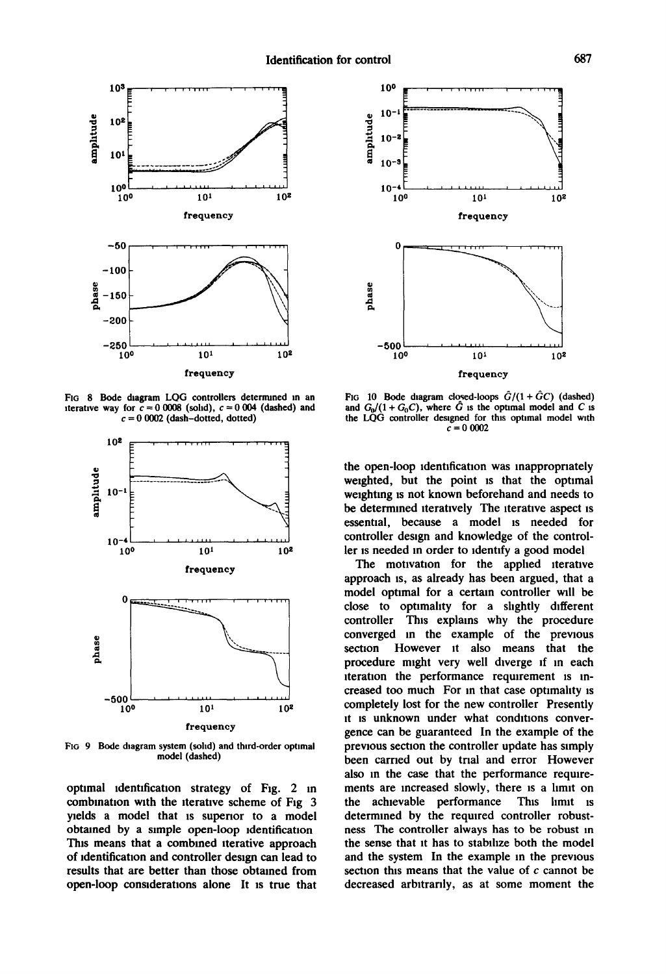

FIG 8 Bode diagram LQG controllers determined in an iterative way for  $c = 0.0008$  (solid),  $c = 0.004$  (dashed) and  $c = 0$  0002 (dash-dotted, dotted)



FIG 9 Bode diagram system (solid) and third-order optimal model (dashed)

optimal identification strategy of Fig. 2 in combination with the iterative scheme of Fig 3 yields a model that is superior to a model obtained by a simple open-loop identification This means that a combined iterative approach of identification and controller design can lead to results that are better than those obtained from open-loop considerations alone It is true that



FIG 10 Bode diagram closed-loops  $\hat{G}/(1+\hat{G}C)$  (dashed) and  $G_0/(1 + G_0C)$ , where  $\hat{G}$  is the optimal model and C is the LQG controller designed for this optimal model with  $= 00002$ 

the open-loop identification was inappropriately weighted, but the point is that the optimal weighting is not known beforehand and needs to be determined iteratively The iterative aspect is essential, because a model is needed for controller design and knowledge of the controller is needed in order to identify a good model

The motivation for the applied iterative approach is, as already has been argued, that a model optimal for a certain controller will be close to optimality for a slightly different controller This explains why the procedure converged in the example of the previous section However it also means that the procedure might very well diverge if in each iteration the performance requirement is increased too much For in that case optimality is completely lost for the new controller Presently it is unknown under what conditions convergence can be guaranteed In the example of the previous section the controller update has simply been carried out by trial and error However also in the case that the performance requirements are increased slowly, there is a limit on the achievable performance This limit is determined by the required controller robustness The controller always has to be robust in the sense that it has to stabilize both the model and the system In the example in the previous section this means that the value of  $c$  cannot be decreased arbitrarily, as at some moment the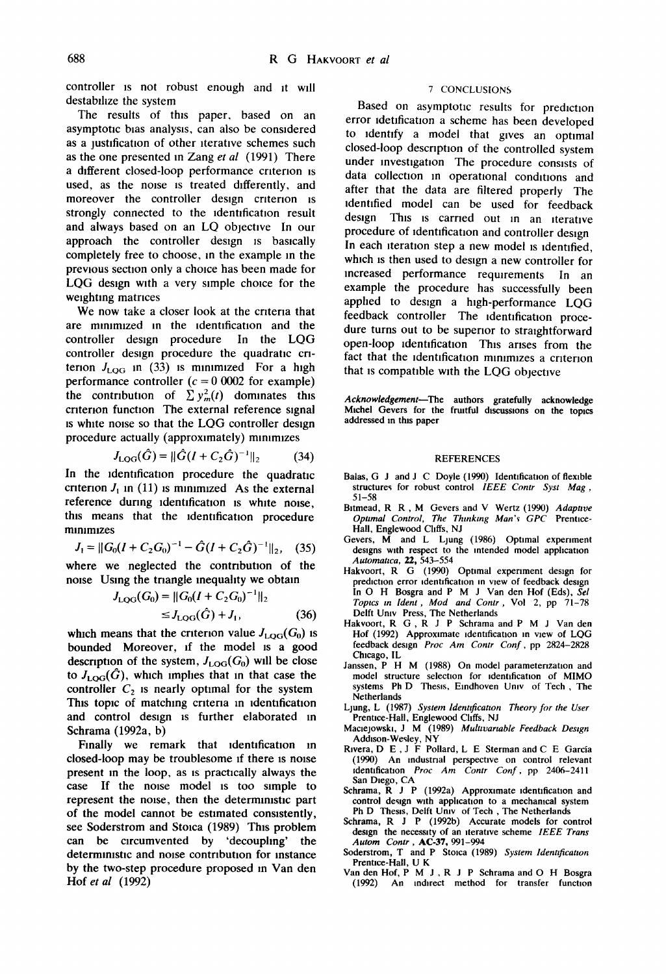controller is not robust enough and it will destabilize the system

The results of this paper, based on an asymptotic bias analysis, can also be considered as a justification of other iterative schemes such as the one presented in Zang *et al* (1991) There a different closed-loop performance criterion is used, as the noise is treated differently, and moreover the controller design criterion is strongly connected to the identification result and always based on an LQ objective In our approach the controller design is basically completely free to choose, in the example in the previous section only a choice has been made for LQG design with a very simple choice for the weighting matrices

We now take a closer look at the criteria that are minimized in the identification and the controller design procedure In the LQG controller design procedure the quadratic criterion  $J_{\text{LOG}}$  in (33) is minimized For a high performance controller  $(c = 0.0002)$  for example) the contribution of  $\sum y_m^2(t)$  dominates this criterion function The external reference signal is white noise so that the LQG controller design procedure actually (approximately) minimizes

$$
J_{\text{LOG}}(\hat{G}) = ||\hat{G}(I + C_2 \hat{G})^{-1}||_2 \tag{34}
$$

In the identification procedure the quadratic criterion  $J_1$  in (11) is minimized As the external reference during identification is white noise, this means that the identification procedure minimizes

$$
J_1 = ||G_0(I + C_2 G_0)^{-1} - \hat{G}(I + C_2 \hat{G})^{-1}||_2, \quad (35)
$$

where we neglected the contribution of the noise Using the triangle inequality we obtain

$$
J_{\text{LQG}}(G_0) = ||G_0(I + C_2 G_0)^{-1}||_2
$$
  
\n
$$
\leq J_{\text{LQG}}(\hat{G}) + J_1,
$$
 (36)

which means that the criterion value  $J_{\text{LQG}}(G_0)$  is bounded Moreover, if the model is a good description of the system,  $J_{\text{LOG}}(G_0)$  will be close to  $J_{\text{LOG}}(\hat{G})$ , which implies that in that case the controller  $C_2$  is nearly optimal for the system This topic of matching criteria in identification and control design is further elaborated in Schrama (1992a, b)

Finally we remark that identification in closed-loop may be troublesome if there is noise present in the loop, as is practically always the case If the noise model is too simple to represent the noise, then the deterministic part of the model cannot be estimated consistently, see Soderstrom and Stoica (1989) This problem can be circumvented by 'decouphng' the deterministic and noise contribution for instance by the two-step procedure proposed in Van den Hof *et al* (1992)

# 7 CONCLUSIONS

Based on asymptotic results for prediction error idetification a scheme has been developed to identify a model that gives an optimal closed-loop description of the controlled system under investigation The procedure consists of data collection m operational conditions and after that the data are filtered properly The identified model can be used for feedback design This is carried out in an iterative procedure of identification and controller design In each iteration step a new model is identified, which is then used to design a new controller for increased performance requirements In an example the procedure has successfully been applied to design a high-performance LQG feedback controller The identification procedure turns out to be superior to straightforward open-loop Identification This arises from the fact that the identification minimizes a criterion that is compatible with the LQG objective

*Acknowledgement--The* **authors gratefully acknowledge Michel Gevers for the fruitful discussions on the topics addressed in this paper** 

#### **REFERENCES**

- Balas, G J and J C Doyle (1990) Identification of flexible structures for robust control *IEEE Contr Syst Mag,*  51-58
- Bitmead, R R, M Gevers and V Wertz (1990) *Adapttve Opttmal Control, The Thmkmg Man'~ GPC* Prentice-Hall, Englewood Cliffs, NJ
- Gevers, M and L Ljung (1986) Optimal experiment designs with respect to the intended model application *Automattca,* 22, 543-554
- Hakvoort, R G (1990) Optimal experiment design for prediction error identification in view of feedback design In O H Bosgra and P M J Van den Hof (Eds), *Sel Toptcs m ldent, Mod and Contr,* Vol 2, pp 71-78 Delft Umv Press, The Netherlands
- Hakvoort, R G, R J P Schrama and P M J Van den Hof (1992) Approximate identification m view of LQG feedback design *Proc Am Contr Conf,* pp 2824-2828 Chicago, IL
- Janssen, P H M (1988) On model parameterization and model structure selection for identification of MIMO **systems** Ph D Thesis, Emdhoven Umv of Tech, The Netherlands
- Ljung, L (1987) *System ldenttficatton Theory for the User*  Prentice-Hall, Englewood Chffs, NJ
- Maclejowski, J M (1989) *Multtvartable Feedback Destgn*  Addison-Wesley, NY
- Rivera, D E, J F Pollard, L E Sterman and C E Garcia (1990) An industrial perspectwe on control relevant identification *Proc Am Contr Conf,* pp 2406-2411 San Diego, CA
- Schrama, R J P (1992a) Approximate identification and control design with application to a mechanical system Ph D Thesis, Delft Umv of Tech , The Netherlands
- Schrama, R J P (1992b) Accurate models for control design the necessity of an iteratlve scheme *IEEE Trans Autom Contr ,* AC-37, 991-994
- Soderstrom, T and P Stoica (1989) *System ldenttficatton*  Prentice-Hall, U K
- Van den Hof, P M J, R J P Schrama and O H Bosgra<br>(1992) An undirect method for transfer function An indirect method for transfer function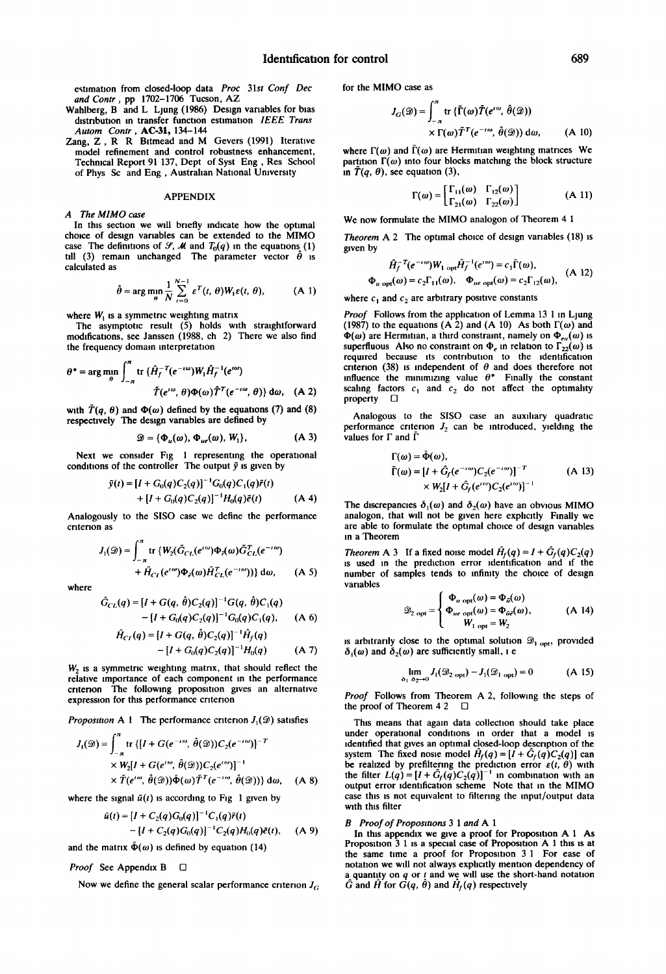estimation from closed-loop data *Proc 31st Conf Dec and Contr,* pp 1702-1706 Tucson, AZ

- Wahlberg, B and L Ljung (1986) Design variables for bias distribution in transfer function estimation *IEEE Trans Autom Contr ,* AC-31, 134-144
- Zang, Z, R R Bitmead and M Gevers (1991) lterative model refinement and control robustness enhancement, Technical Report 91 137, Dept of Syst Eng, Res School of Phys Sc and Eng, Australian National University

#### APPENDIX

*A The MIMO case* 

In this section we will briefly indicate how the optimal choice of design variables can be extended to the MIMO case The definitions of  $\mathcal{S}, \mathcal{M}$  and  $T_0(q)$  in the equations (1) till (3) remain unchanged The parameter vector  $\hat{\theta}$  is calculated as

$$
\hat{\theta} = \arg\min_{\theta} \frac{1}{N} \sum_{t=0}^{N-1} \varepsilon^{T}(t, \theta) W_{1} \varepsilon(t, \theta), \quad (A \ 1)
$$

where  $W_t$  is a symmetric weighting matrix

The asymptotic result (5) holds with straightforward modifications, see Janssen (1988, ch 2) There we also find the frequency domain interpretation

$$
\theta^* = \arg\min_{\theta} \int_{-\pi}^{\pi} \text{tr}\,\{\hat{H}_f^{-T}(e^{-i\omega})W_1\hat{H}_f^{-1}(e^{i\omega})\right.
$$

$$
\tilde{T}(e^{i\omega},\theta)\Phi(\omega)\tilde{T}^T(e^{-i\omega},\theta)\}\,\text{d}\omega,\quad\text{(A 2)}
$$

with  $\tilde{T}(q, \theta)$  and  $\Phi(\omega)$  defined by the equations (7) and (8) respectively The design variables are defined by

$$
\mathcal{D} = {\Phi_u(\omega), \Phi_{ue}(\omega), W_1}, \tag{A 3}
$$

Next we consider Fig 1 representing the operational conditions of the controller The output  $\bar{y}$  is given by

$$
\bar{y}(t) = [I + G_0(q)C_2(q)]^{-1}G_0(q)C_1(q)\bar{r}(t) + [I + G_0(q)C_2(q)]^{-1}H_0(q)\bar{e}(t)
$$
 (A 4)

Analogously to the SISO case we define the performance cntenon as

$$
J_1(\mathcal{D}) = \int_{-\pi}^{\pi} \text{tr} \left\{ W_2(\bar{G}_{CL}(e^{t\omega})) \Phi_{\tau}(\omega) \bar{G}_{CL}^T(e^{-t\omega}) + \tilde{H}_{C_I}(e^{t\omega}) \Phi_{\bar{e}}(\omega) \tilde{H}_{CL}^T(e^{-t\omega})) \right\} d\omega, \qquad (A \ 5)
$$

where

$$
\tilde{G}_{CL}(q) = [I + G(q, \hat{\theta})C_2(q)]^{-1}G(q, \hat{\theta})C_1(q)
$$
  
- [I + G\_0(q)C\_2(q)]^{-1}G\_0(q)C\_1(q), (A 6)

$$
\tilde{H}_{CI}(q) = [I + G(q, \hat{\theta})C_2(q)]^{-1}\hat{H}_f(q)
$$
  
 
$$
- [I + G_0(q)C_2(q)]^{-1}H_0(q) \qquad (A 7)
$$

 $W<sub>2</sub>$  is a symmetric weighting matrix, that should reflect the relative importance of each component in the performance criterion The following proposition gives an alternative expression for this performance criterion

*Proposition* A 1 The performance criterion  $J_1(\mathcal{D})$  satisfies

$$
J_1(\mathcal{D}) = \int_{-\pi}^{\pi} \text{tr} \left\{ [I + G(e^{-i\omega}, \hat{\theta}(\mathcal{D})) C_2(e^{-i\omega})]^{-T} \right\}
$$
  
 
$$
\times W_2 [I + G(e^{i\omega}, \hat{\theta}(\mathcal{D})) C_2(e^{i\omega})]^{-1}
$$
  
 
$$
\times \tilde{T}(e^{i\omega}, \hat{\theta}(\mathcal{D})) \tilde{\Phi}(\omega) \tilde{T}^T(e^{-i\omega}, \hat{\theta}(\mathcal{D})) \} d\omega, \quad (A \ 8)
$$

where the signal  $\bar{u}(t)$  is according to Fig 1 given by

$$
\tilde{u}(t) = [I + C_2(q)G_0(q)]^{-1}C_1(q)\tilde{r}(t) - [I + C_2(q)G_0(q)]^{-1}C_2(q)H_0(q)\tilde{e}(t), \quad (A 9)
$$

and the matrix  $\bar{\Phi}(\omega)$  is defined by equation (14)

*Proof* See Appendix **B** □

Now we define the general scalar performance criterion  $J_G$ .

for the MIMO case as

$$
J_G(\mathcal{D}) = \int_{-\pi}^{\pi} \text{tr} \{ \bar{\Gamma}(\omega) \tilde{T}(e^{i\omega}, \hat{\theta}(\mathcal{D}))
$$
  
 
$$
\times \Gamma(\omega) \tilde{T}^T(e^{-i\omega}, \hat{\theta}(\mathcal{D})) d\omega, \qquad (A \ 10)
$$

where  $\Gamma(\omega)$  and  $\overline{\Gamma}(\omega)$  are Hermitian weighting matrices We partition  $\Gamma(\omega)$  into four blocks matching the block structure in  $\tilde{T}(q, \theta)$ , see equation (3),

$$
\Gamma(\omega) = \begin{bmatrix} \Gamma_{11}(\omega) & \Gamma_{12}(\omega) \\ \Gamma_{21}(\omega) & \Gamma_{22}(\omega) \end{bmatrix}
$$
 (A 11)

We now formulate the MIMO analogon of Theorem 4 1

*Theorem* A 2 The optimal choice of design variables (18) is given by

$$
\hat{H}_f^{-T}(e^{-\iota\omega})W_{1\text{ opt}}\hat{H}_f^{-1}(e^{\iota\omega}) = c_1\bar{\Gamma}(\omega),
$$
  

$$
\Phi_{u\text{ opt}}(\omega) = c_2\Gamma_{11}(\omega), \quad \Phi_{ue\text{ opt}}(\omega) = c_2\Gamma_{12}(\omega), \quad (A\ 12)
$$

where  $c_1$  and  $c_2$  are arbitrary positive constants

*Proof* Follows from the application of Lemma 13 1 in Ljung (1987) to the equations (A 2) and (A 10) As both  $\Gamma(\omega)$  and  $\Phi(\omega)$  are Hermitian, a third constraint, namely on  $\Phi_{\epsilon\mu}(\omega)$  is superfluous Also no constraint on  $\Phi_e$  in relation to  $\Gamma_{22}(\omega)$  is required because its contribution to the identification criterion (38) is independent of  $\theta$  and does therefore not influence the minimizing value  $\theta^*$  Finally the constant scaling factors  $c_1$  and  $c_2$  do not affect the optimality property  $\Box$ 

Analogous to the SISO case an auxiliary quadratic performance criterion  $J_2$  can be introduced, yielding the values for  $\Gamma$  and  $\Gamma$ 

$$
\Gamma(\omega) = \bar{\Phi}(\omega), \n\bar{\Gamma}(\omega) = [I + \hat{G}_f(e^{-i\omega})C_2(e^{-i\omega})]^{-T} \n\times W_2[I + \hat{G}_f(e^{i\omega})C_2(e^{i\omega})]^{-1}
$$
\n(A 13)

The discrepancies  $\delta_1(\omega)$  and  $\delta_2(\omega)$  have an obvious MIMO analogon, that will not be given here explicitly Finally we are able to formulate the optimal choice of design vanables in a Theorem

*Theorem* A 3 If a fixed noise model  $\hat{H}_f(q) = I + \hat{G}_f(q)C_2(q)$ is used in the prediction error identification and if the number of samples tends to infinity the choice of design variables

$$
\mathcal{D}_{2 \text{ opt}} = \begin{cases} \Phi_{u \text{ opt}}(\omega) = \Phi_{\bar{u}}(\omega) \\ \Phi_{u\text{ opt}}(\omega) = \Phi_{\bar{u}\bar{e}}(\omega), \\ W_{1 \text{ opt}} = W_2 \end{cases} (A 14)
$$

is arbitrarily close to the optimal solution  $\mathcal{D}_{1~\text{opt}}$ , provided  $\delta_1(\omega)$  and  $\delta_2(\omega)$  are sufficiently small, i e

$$
\lim_{\delta_1} J_1(\mathcal{D}_{2\text{ opt}}) - J_1(\mathcal{D}_{1\text{ opt}}) = 0
$$
 (A 15)

*Proof* Follows from Theorem A 2, following the steps of the proof of Theorem 4 2  $\Box$ 

This means that again data collection should take place under operational conditions in order that a model is identified that gives an optimal closed-loop description of the system The fixed nosie model  $\hat{H}_f(q) = [I + \hat{G}_f(q)C_2(q)]$  can be realized by prefiltering the prediction error  $\varepsilon(t, \theta)$  with the filter  $L(q) = [I + G_f(q)C_2(q)]^{-1}$  in combination with an output error identification scheme Note that in the MIMO case this is not equivalent to filtering the input/output data with this filter

#### *B Proof of Proposiuons 3 1 and A 1*

In this appendix we give a proof for Proposition **A 1 As**  Proposition 3 1 is a special case of Proposition A 1 this is at the same time a proof for Proposition 3 1 For ease of notation we will not always explicitly mention dependency of a quantity on  $q$  or  $t$  and we will use the short-hand notation  $\hat{G}$  and  $\hat{H}$  for  $G(q, \hat{\theta})$  and  $\hat{H}_f(q)$  respectively